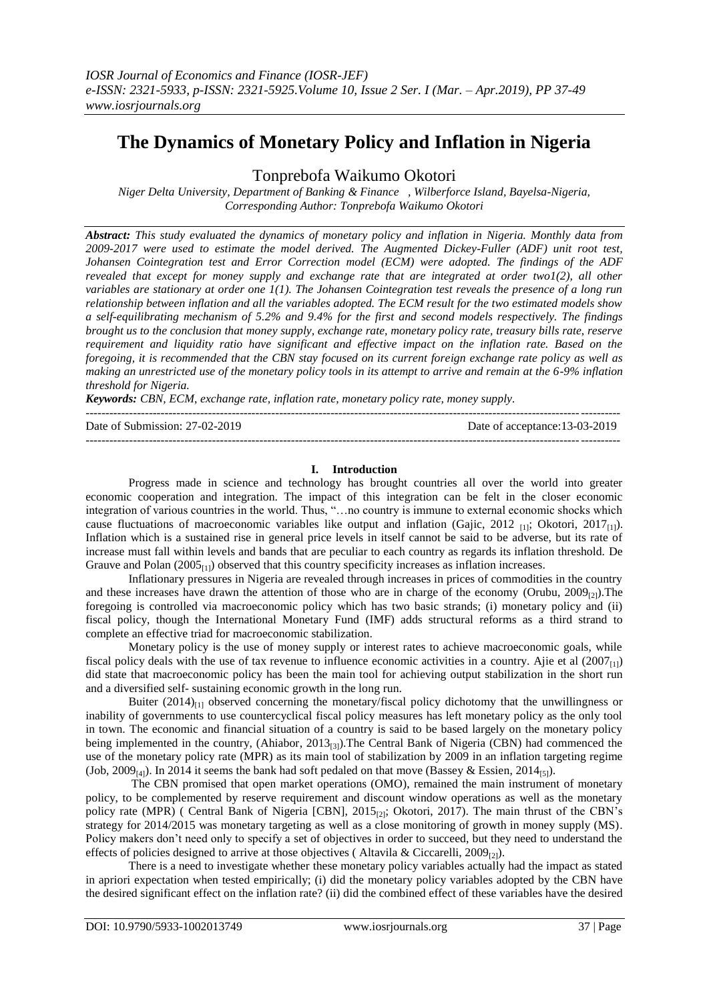# **The Dynamics of Monetary Policy and Inflation in Nigeria**

Tonprebofa Waikumo Okotori

*Niger Delta University, Department of Banking & Finance , Wilberforce Island, Bayelsa-Nigeria, Corresponding Author: Tonprebofa Waikumo Okotori*

*Abstract: This study evaluated the dynamics of monetary policy and inflation in Nigeria. Monthly data from 2009-2017 were used to estimate the model derived. The Augmented Dickey-Fuller (ADF) unit root test, Johansen Cointegration test and Error Correction model (ECM) were adopted. The findings of the ADF revealed that except for money supply and exchange rate that are integrated at order two1(2), all other variables are stationary at order one 1(1). The Johansen Cointegration test reveals the presence of a long run relationship between inflation and all the variables adopted. The ECM result for the two estimated models show a self-equilibrating mechanism of 5.2% and 9.4% for the first and second models respectively. The findings brought us to the conclusion that money supply, exchange rate, monetary policy rate, treasury bills rate, reserve requirement and liquidity ratio have significant and effective impact on the inflation rate. Based on the foregoing, it is recommended that the CBN stay focused on its current foreign exchange rate policy as well as making an unrestricted use of the monetary policy tools in its attempt to arrive and remain at the 6-9% inflation threshold for Nigeria.* 

*Keywords: CBN, ECM*, *exchange rate, inflation rate, monetary policy rate, money supply.*

| Date of Submission: $27-02-2019$ | Date of acceptance:13-03-2019 |
|----------------------------------|-------------------------------|
|                                  |                               |

# **I. Introduction**

Progress made in science and technology has brought countries all over the world into greater economic cooperation and integration. The impact of this integration can be felt in the closer economic integration of various countries in the world. Thus, "…no country is immune to external economic shocks which cause fluctuations of macroeconomic variables like output and inflation (Gajic, 2012  $_{[1]}$ ; Okotori, 2017 $_{[1]}$ ). Inflation which is a sustained rise in general price levels in itself cannot be said to be adverse, but its rate of increase must fall within levels and bands that are peculiar to each country as regards its inflation threshold. De Grauve and Polan  $(2005_{[1]})$  observed that this country specificity increases as inflation increases.

Inflationary pressures in Nigeria are revealed through increases in prices of commodities in the country and these increases have drawn the attention of those who are in charge of the economy (Orubu,  $2009_{(2)}$ ). The foregoing is controlled via macroeconomic policy which has two basic strands; (i) monetary policy and (ii) fiscal policy, though the International Monetary Fund (IMF) adds structural reforms as a third strand to complete an effective triad for macroeconomic stabilization.

Monetary policy is the use of money supply or interest rates to achieve macroeconomic goals, while fiscal policy deals with the use of tax revenue to influence economic activities in a country. Ajie et al  $(2007<sub>[11]</sub>)$ did state that macroeconomic policy has been the main tool for achieving output stabilization in the short run and a diversified self- sustaining economic growth in the long run.

Buiter  $(2014)_{[1]}$  observed concerning the monetary/fiscal policy dichotomy that the unwillingness or inability of governments to use countercyclical fiscal policy measures has left monetary policy as the only tool in town. The economic and financial situation of a country is said to be based largely on the monetary policy being implemented in the country, (Ahiabor,  $2013_{(3)}$ ). The Central Bank of Nigeria (CBN) had commenced the use of the monetary policy rate (MPR) as its main tool of stabilization by 2009 in an inflation targeting regime (Job, 2009<sub>[4]</sub>). In 2014 it seems the bank had soft pedaled on that move (Bassey & Essien, 2014<sub>[5]</sub>).

The CBN promised that open market operations (OMO), remained the main instrument of monetary policy, to be complemented by reserve requirement and discount window operations as well as the monetary policy rate (MPR) ( Central Bank of Nigeria [CBN], 2015<sub>[2]</sub>; Okotori, 2017). The main thrust of the CBN's strategy for 2014/2015 was monetary targeting as well as a close monitoring of growth in money supply (MS). Policy makers don't need only to specify a set of objectives in order to succeed, but they need to understand the effects of policies designed to arrive at those objectives (Altavila & Ciccarelli, 2009<sub>[2]</sub>).

There is a need to investigate whether these monetary policy variables actually had the impact as stated in apriori expectation when tested empirically; (i) did the monetary policy variables adopted by the CBN have the desired significant effect on the inflation rate? (ii) did the combined effect of these variables have the desired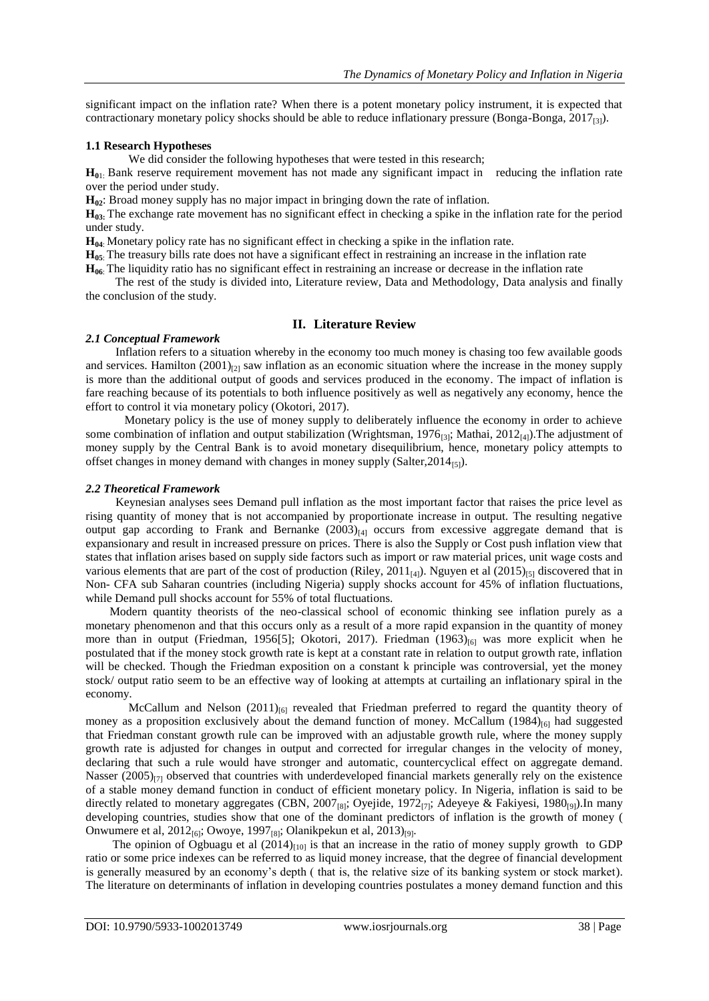significant impact on the inflation rate? When there is a potent monetary policy instrument, it is expected that contractionary monetary policy shocks should be able to reduce inflationary pressure (Bonga-Bonga,  $2017_{[3]}$ ).

# **1.1 Research Hypotheses**

We did consider the following hypotheses that were tested in this research;

**H0**1: Bank reserve requirement movement has not made any significant impact in reducing the inflation rate over the period under study.

**H**<sub>02</sub>: Broad money supply has no major impact in bringing down the rate of inflation.

**H**<sub>03</sub>: The exchange rate movement has no significant effect in checking a spike in the inflation rate for the period under study.

**H04**: Monetary policy rate has no significant effect in checking a spike in the inflation rate.

**H05**: The treasury bills rate does not have a significant effect in restraining an increase in the inflation rate

**H06**: The liquidity ratio has no significant effect in restraining an increase or decrease in the inflation rate

 The rest of the study is divided into, Literature review, Data and Methodology, Data analysis and finally the conclusion of the study.

# **II. Literature Review**

# *2.1 Conceptual Framework*

Inflation refers to a situation whereby in the economy too much money is chasing too few available goods and services. Hamilton  $(2001)_{[2]}$  saw inflation as an economic situation where the increase in the money supply is more than the additional output of goods and services produced in the economy. The impact of inflation is fare reaching because of its potentials to both influence positively as well as negatively any economy, hence the effort to control it via monetary policy (Okotori, 2017).

 Monetary policy is the use of money supply to deliberately influence the economy in order to achieve some combination of inflation and output stabilization (Wrightsman, 1976<sub>[3]</sub>; Mathai, 2012<sub>[4]</sub>). The adjustment of money supply by the Central Bank is to avoid monetary disequilibrium, hence, monetary policy attempts to offset changes in money demand with changes in money supply (Salter,  $2014_{[5]}$ ).

# *2.2 Theoretical Framework*

 Keynesian analyses sees Demand pull inflation as the most important factor that raises the price level as rising quantity of money that is not accompanied by proportionate increase in output. The resulting negative output gap according to Frank and Bernanke  $(2003)_{[4]}$  occurs from excessive aggregate demand that is expansionary and result in increased pressure on prices. There is also the Supply or Cost push inflation view that states that inflation arises based on supply side factors such as import or raw material prices, unit wage costs and various elements that are part of the cost of production (Riley, 2011<sub>[4]</sub>). Nguyen et al (2015)<sub>[5]</sub> discovered that in Non- CFA sub Saharan countries (including Nigeria) supply shocks account for 45% of inflation fluctuations, while Demand pull shocks account for 55% of total fluctuations.

 Modern quantity theorists of the neo-classical school of economic thinking see inflation purely as a monetary phenomenon and that this occurs only as a result of a more rapid expansion in the quantity of money more than in output (Friedman, 1956[5]; Okotori, 2017). Friedman  $(1963)_{[6]}$  was more explicit when he postulated that if the money stock growth rate is kept at a constant rate in relation to output growth rate, inflation will be checked. Though the Friedman exposition on a constant k principle was controversial, yet the money stock/ output ratio seem to be an effective way of looking at attempts at curtailing an inflationary spiral in the economy.

McCallum and Nelson  $(2011)_{[6]}$  revealed that Friedman preferred to regard the quantity theory of money as a proposition exclusively about the demand function of money. McCallum  $(1984)_{[6]}$  had suggested that Friedman constant growth rule can be improved with an adjustable growth rule, where the money supply growth rate is adjusted for changes in output and corrected for irregular changes in the velocity of money, declaring that such a rule would have stronger and automatic, countercyclical effect on aggregate demand. Nasser  $(2005)_{[7]}$  observed that countries with underdeveloped financial markets generally rely on the existence of a stable money demand function in conduct of efficient monetary policy. In Nigeria, inflation is said to be directly related to monetary aggregates (CBN, 2007<sub>[8]</sub>; Oyejide, 1972<sub>[7]</sub>; Adeyeye & Fakiyesi, 1980<sub>[9]</sub>).In many developing countries, studies show that one of the dominant predictors of inflation is the growth of money ( Onwumere et al,  $2012_{[6]}$ ; Owoye, 1997<sub>[8]</sub>; Olanikpekun et al,  $2013)_{[9]}$ .

The opinion of Ogbuagu et al  $(2014)_{[10]}$  is that an increase in the ratio of money supply growth to GDP ratio or some price indexes can be referred to as liquid money increase, that the degree of financial development is generally measured by an economy's depth ( that is, the relative size of its banking system or stock market). The literature on determinants of inflation in developing countries postulates a money demand function and this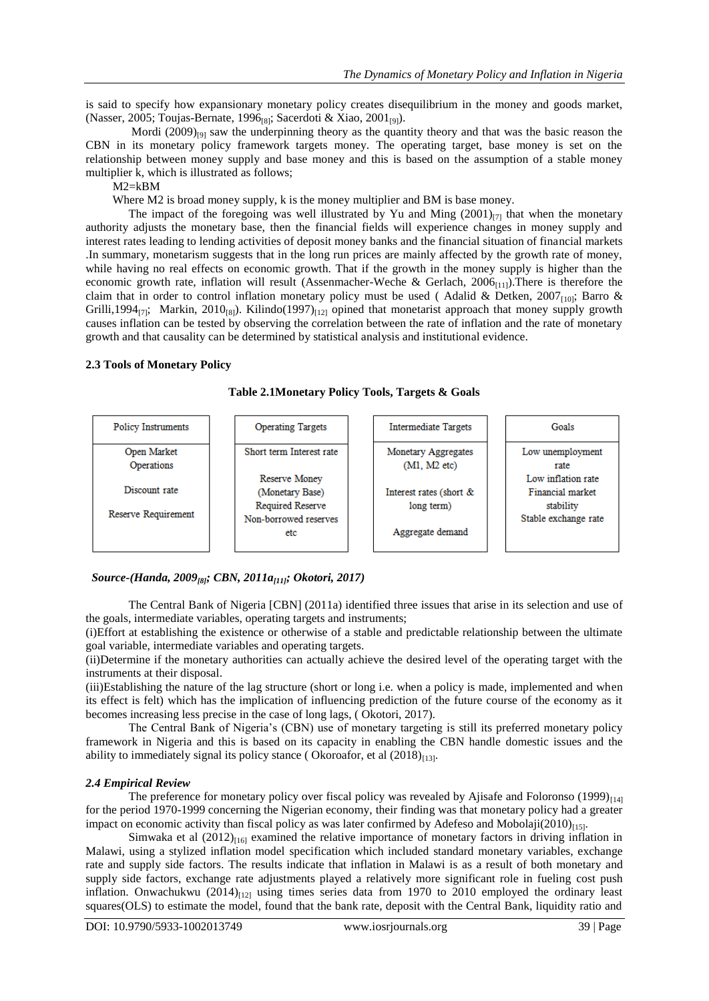is said to specify how expansionary monetary policy creates disequilibrium in the money and goods market, (Nasser, 2005; Toujas-Bernate, 1996<sub>[8]</sub>; Sacerdoti & Xiao, 2001<sub>[9]</sub>).

Mordi  $(2009)_{[9]}$  saw the underpinning theory as the quantity theory and that was the basic reason the CBN in its monetary policy framework targets money. The operating target, base money is set on the relationship between money supply and base money and this is based on the assumption of a stable money multiplier k, which is illustrated as follows;

M2=kBM

Where M2 is broad money supply, k is the money multiplier and BM is base money.

The impact of the foregoing was well illustrated by Yu and Ming  $(2001)_{[7]}$  that when the monetary authority adjusts the monetary base, then the financial fields will experience changes in money supply and interest rates leading to lending activities of deposit money banks and the financial situation of financial markets .In summary, monetarism suggests that in the long run prices are mainly affected by the growth rate of money, while having no real effects on economic growth. That if the growth in the money supply is higher than the economic growth rate, inflation will result (Assenmacher-Weche & Gerlach,  $2006_{[11]}$ ).There is therefore the claim that in order to control inflation monetary policy must be used (Adalid & Detken, 2007<sub>[10]</sub>; Barro & Grilli,1994 $_{[7]}$ ; Markin, 2010 $_{[8]}$ ). Kilindo(1997) $_{[12]}$  opined that monetarist approach that money supply growth causes inflation can be tested by observing the correlation between the rate of inflation and the rate of monetary growth and that causality can be determined by statistical analysis and institutional evidence.

# **2.3 Tools of Monetary Policy**

**Table 2.1Monetary Policy Tools, Targets & Goals**



# *Source-(Handa, 2009[8]; CBN, 2011a[11]; Okotori, 2017)*

The Central Bank of Nigeria [CBN] (2011a) identified three issues that arise in its selection and use of the goals, intermediate variables, operating targets and instruments;

(i)Effort at establishing the existence or otherwise of a stable and predictable relationship between the ultimate goal variable, intermediate variables and operating targets.

(ii)Determine if the monetary authorities can actually achieve the desired level of the operating target with the instruments at their disposal.

(iii)Establishing the nature of the lag structure (short or long i.e. when a policy is made, implemented and when its effect is felt) which has the implication of influencing prediction of the future course of the economy as it becomes increasing less precise in the case of long lags, ( Okotori, 2017).

The Central Bank of Nigeria's (CBN) use of monetary targeting is still its preferred monetary policy framework in Nigeria and this is based on its capacity in enabling the CBN handle domestic issues and the ability to immediately signal its policy stance (Okoroafor, et al  $(2018)_{[13]}$ .

## *2.4 Empirical Review*

The preference for monetary policy over fiscal policy was revealed by Ajisafe and Foloronso  $(1999)_{[14]}$ for the period 1970-1999 concerning the Nigerian economy, their finding was that monetary policy had a greater impact on economic activity than fiscal policy as was later confirmed by Adefeso and Mobolaji $(2010)_{[15]}$ .

Simwaka et al  $(2012)_{[16]}$  examined the relative importance of monetary factors in driving inflation in Malawi, using a stylized inflation model specification which included standard monetary variables, exchange rate and supply side factors. The results indicate that inflation in Malawi is as a result of both monetary and supply side factors, exchange rate adjustments played a relatively more significant role in fueling cost push inflation. Onwachukwu  $(2014)_{[12]}$  using times series data from 1970 to 2010 employed the ordinary least squares(OLS) to estimate the model, found that the bank rate, deposit with the Central Bank, liquidity ratio and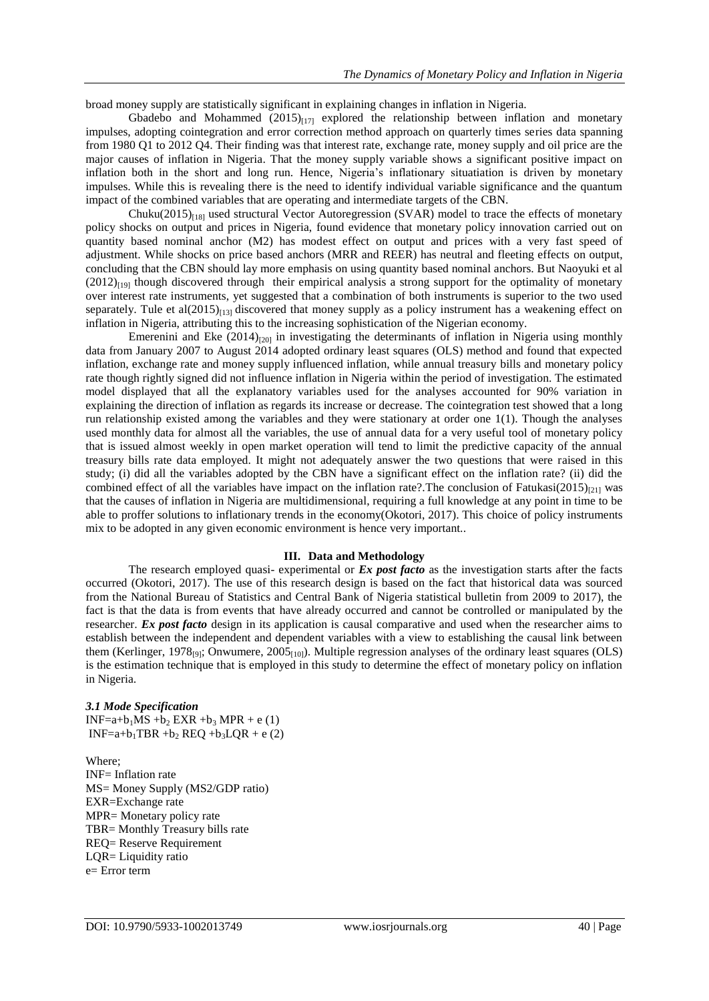broad money supply are statistically significant in explaining changes in inflation in Nigeria.

Gbadebo and Mohammed  $(2015)_{[17]}$  explored the relationship between inflation and monetary impulses, adopting cointegration and error correction method approach on quarterly times series data spanning from 1980 Q1 to 2012 Q4. Their finding was that interest rate, exchange rate, money supply and oil price are the major causes of inflation in Nigeria. That the money supply variable shows a significant positive impact on inflation both in the short and long run. Hence, Nigeria's inflationary situatiation is driven by monetary impulses. While this is revealing there is the need to identify individual variable significance and the quantum impact of the combined variables that are operating and intermediate targets of the CBN.

Chuku(2015)<sub>[18]</sub> used structural Vector Autoregression (SVAR) model to trace the effects of monetary policy shocks on output and prices in Nigeria, found evidence that monetary policy innovation carried out on quantity based nominal anchor (M2) has modest effect on output and prices with a very fast speed of adjustment. While shocks on price based anchors (MRR and REER) has neutral and fleeting effects on output, concluding that the CBN should lay more emphasis on using quantity based nominal anchors. But Naoyuki et al  $(2012)_{[19]}$  though discovered through their empirical analysis a strong support for the optimality of monetary over interest rate instruments, yet suggested that a combination of both instruments is superior to the two used separately. Tule et al(2015) $\mu$ <sub>3</sub> discovered that money supply as a policy instrument has a weakening effect on inflation in Nigeria, attributing this to the increasing sophistication of the Nigerian economy.

Emerenini and Eke  $(2014)_{[20]}$  in investigating the determinants of inflation in Nigeria using monthly data from January 2007 to August 2014 adopted ordinary least squares (OLS) method and found that expected inflation, exchange rate and money supply influenced inflation, while annual treasury bills and monetary policy rate though rightly signed did not influence inflation in Nigeria within the period of investigation. The estimated model displayed that all the explanatory variables used for the analyses accounted for 90% variation in explaining the direction of inflation as regards its increase or decrease. The cointegration test showed that a long run relationship existed among the variables and they were stationary at order one 1(1). Though the analyses used monthly data for almost all the variables, the use of annual data for a very useful tool of monetary policy that is issued almost weekly in open market operation will tend to limit the predictive capacity of the annual treasury bills rate data employed. It might not adequately answer the two questions that were raised in this study; (i) did all the variables adopted by the CBN have a significant effect on the inflation rate? (ii) did the combined effect of all the variables have impact on the inflation rate?.The conclusion of Fatukasi(2015) $_{[21]}$  was that the causes of inflation in Nigeria are multidimensional, requiring a full knowledge at any point in time to be able to proffer solutions to inflationary trends in the economy(Okotori, 2017). This choice of policy instruments mix to be adopted in any given economic environment is hence very important..

#### **III. Data and Methodology**

The research employed quasi- experimental or *Ex post facto* as the investigation starts after the facts occurred (Okotori, 2017). The use of this research design is based on the fact that historical data was sourced from the National Bureau of Statistics and Central Bank of Nigeria statistical bulletin from 2009 to 2017), the fact is that the data is from events that have already occurred and cannot be controlled or manipulated by the researcher. *Ex post facto* design in its application is causal comparative and used when the researcher aims to establish between the independent and dependent variables with a view to establishing the causal link between them (Kerlinger, 1978<sub>[9]</sub>; Onwumere, 2005<sub>[10]</sub>). Multiple regression analyses of the ordinary least squares (OLS) is the estimation technique that is employed in this study to determine the effect of monetary policy on inflation in Nigeria.

## *3.1 Mode Specification*

 $INF=a+b<sub>1</sub>MS +b<sub>2</sub> EXP +b<sub>3</sub> MPR + e (1)$  $INF=a+b_1TBR +b_2 REQ +b_3LQR + e(2)$ 

Where; INF= Inflation rate MS= Money Supply (MS2/GDP ratio) EXR=Exchange rate MPR= Monetary policy rate TBR= Monthly Treasury bills rate REQ= Reserve Requirement LQR= Liquidity ratio e= Error term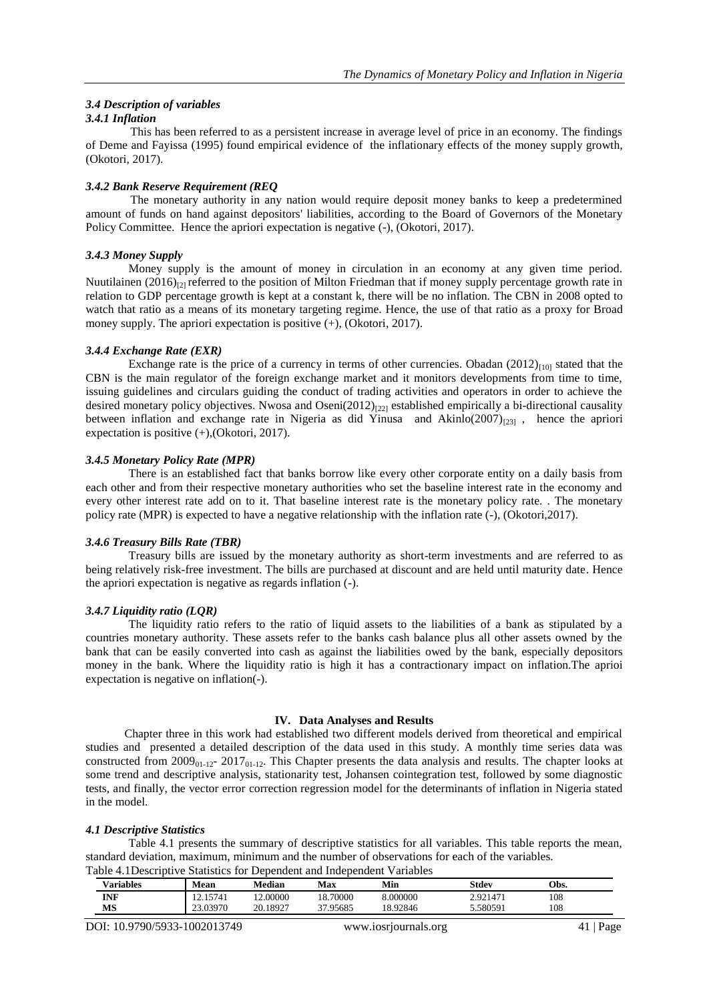## *3.4 Description of variables*

# *3.4.1 Inflation*

This has been referred to as a persistent increase in average level of price in an economy. The findings of Deme and Fayissa (1995) found empirical evidence of the inflationary effects of the money supply growth, (Okotori, 2017).

# *3.4.2 Bank Reserve Requirement (REQ*

The monetary authority in any nation would require deposit money banks to keep a predetermined amount of funds on hand against depositors' liabilities, according to the Board of Governors of the Monetary Policy Committee. Hence the apriori expectation is negative  $(-)$ , (Okotori, 2017).

## *3.4.3 Money Supply*

Money supply is the amount of money in circulation in an economy at any given time period. Nuutilainen (2016)<sub>[2]</sub> referred to the position of Milton Friedman that if money supply percentage growth rate in relation to GDP percentage growth is kept at a constant k, there will be no inflation. The CBN in 2008 opted to watch that ratio as a means of its monetary targeting regime. Hence, the use of that ratio as a proxy for Broad money supply. The apriori expectation is positive (+), (Okotori, 2017).

# *3.4.4 Exchange Rate (EXR)*

Exchange rate is the price of a currency in terms of other currencies. Obadan  $(2012)_{[10]}$  stated that the CBN is the main regulator of the foreign exchange market and it monitors developments from time to time, issuing guidelines and circulars guiding the conduct of trading activities and operators in order to achieve the desired monetary policy objectives. Nwosa and Oseni $(2012)_{[22]}$  established empirically a bi-directional causality between inflation and exchange rate in Nigeria as did Yinusa and Akinlo $(2007)_{[23]}$ , hence the apriori expectation is positive (+),(Okotori, 2017).

# *3.4.5 Monetary Policy Rate (MPR)*

There is an established fact that banks borrow like every other corporate entity on a daily basis from each other and from their respective monetary authorities who set the baseline interest rate in the economy and every other interest rate add on to it. That baseline interest rate is the monetary policy rate. . The monetary policy rate (MPR) is expected to have a negative relationship with the inflation rate (-), (Okotori,2017).

## *3.4.6 Treasury Bills Rate (TBR)*

Treasury bills are issued by the monetary authority as short-term investments and are referred to as being relatively risk-free investment. The bills are purchased at discount and are held until maturity date. Hence the apriori expectation is negative as regards inflation (-).

# *3.4.7 Liquidity ratio (LQR)*

The liquidity ratio refers to the ratio of liquid assets to the liabilities of a bank as stipulated by a countries monetary authority. These assets refer to the banks cash balance plus all other assets owned by the bank that can be easily converted into cash as against the liabilities owed by the bank, especially depositors money in the bank. Where the liquidity ratio is high it has a contractionary impact on inflation.The aprioi expectation is negative on inflation(-).

## **IV. Data Analyses and Results**

Chapter three in this work had established two different models derived from theoretical and empirical studies and presented a detailed description of the data used in this study. A monthly time series data was constructed from  $2009_{01-12}$ -  $2017_{01-12}$ . This Chapter presents the data analysis and results. The chapter looks at some trend and descriptive analysis, stationarity test, Johansen cointegration test, followed by some diagnostic tests, and finally, the vector error correction regression model for the determinants of inflation in Nigeria stated in the model.

# *4.1 Descriptive Statistics*

Table 4.1 presents the summary of descriptive statistics for all variables. This table reports the mean, standard deviation, maximum, minimum and the number of observations for each of the variables. Table 4.1Descriptive Statistics for Dependent and Independent Variables

| <b>Variables</b> | Mean     | <b>Median</b> | Max      | Min      | Stdev    | Obs. |
|------------------|----------|---------------|----------|----------|----------|------|
| INF              | 15741    | 12.00000      | 18.70000 | 8.000000 | 2.921471 | 108  |
| MS               | 23.03970 | 20.18927      | 37.95685 | 18.92846 | 5.580591 | 108  |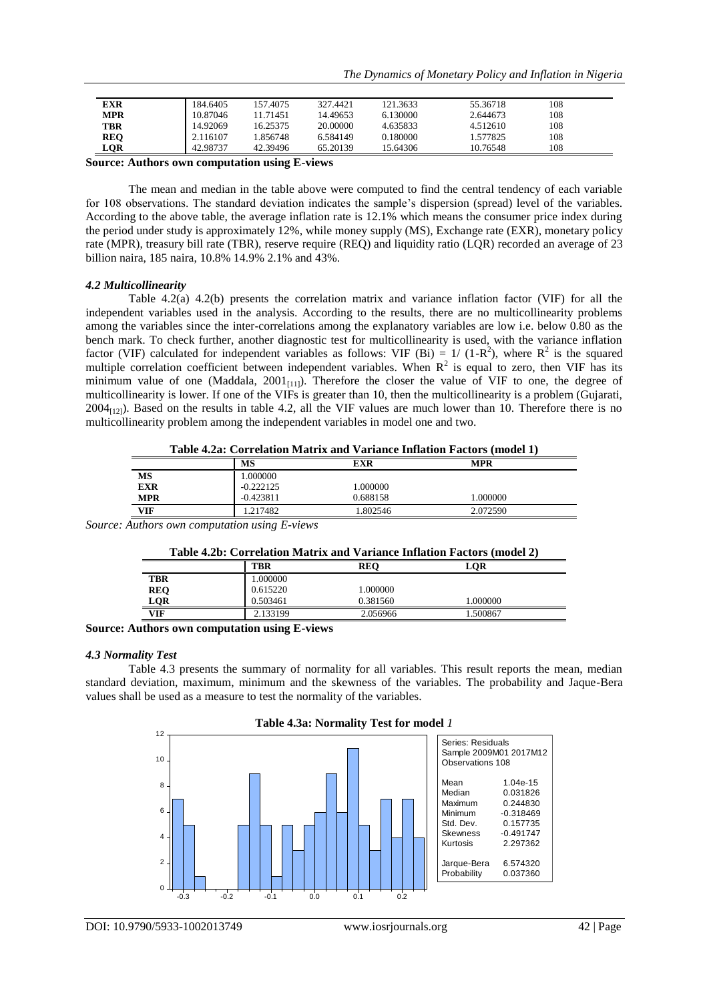| EXR        | 184.6405 | 157.4075 | 327.4421 | 121.3633 | 55.36718 | 108 |  |
|------------|----------|----------|----------|----------|----------|-----|--|
| MPR        | 10.87046 | 11.71451 | 14.49653 | 6.130000 | 2.644673 | 108 |  |
| TBR        | 14.92069 | 16.25375 | 20.00000 | 4.635833 | 4.512610 | 108 |  |
| <b>REO</b> | 2.116107 | 1.856748 | 6.584149 | 0.180000 | .577825  | 108 |  |
| LQR        | 42.98737 | 42.39496 | 65.20139 | 15.64306 | 10.76548 | 108 |  |

**Source: Authors own computation using E-views**

The mean and median in the table above were computed to find the central tendency of each variable for 108 observations. The standard deviation indicates the sample's dispersion (spread) level of the variables. According to the above table, the average inflation rate is 12.1% which means the consumer price index during the period under study is approximately 12%, while money supply (MS), Exchange rate (EXR), monetary policy rate (MPR), treasury bill rate (TBR), reserve require (REQ) and liquidity ratio (LQR) recorded an average of 23 billion naira, 185 naira, 10.8% 14.9% 2.1% and 43%.

#### *4.2 Multicollinearity*

Table 4.2(a) 4.2(b) presents the correlation matrix and variance inflation factor (VIF) for all the independent variables used in the analysis. According to the results, there are no multicollinearity problems among the variables since the inter-correlations among the explanatory variables are low i.e. below 0.80 as the bench mark. To check further, another diagnostic test for multicollinearity is used, with the variance inflation factor (VIF) calculated for independent variables as follows: VIF (Bi) =  $1/(1-R^2)$ , where R<sup>2</sup> is the squared multiple correlation coefficient between independent variables. When  $R^2$  is equal to zero, then VIF has its minimum value of one (Maddala,  $2001_{[11]}$ ). Therefore the closer the value of VIF to one, the degree of multicollinearity is lower. If one of the VIFs is greater than 10, then the multicollinearity is a problem (Gujarati,  $2004_{[12]}$ ). Based on the results in table 4.2, all the VIF values are much lower than 10. Therefore there is no multicollinearity problem among the independent variables in model one and two.

|            | Table 4.2a: Correlation Matrix and Variance Inflation Factors (model 1) |             |          |            |  |  |
|------------|-------------------------------------------------------------------------|-------------|----------|------------|--|--|
|            |                                                                         | MS          | EXR      | <b>MPR</b> |  |  |
| MS         |                                                                         | 1.000000    |          |            |  |  |
| <b>EXR</b> |                                                                         | $-0.222125$ | 1.000000 |            |  |  |
| <b>MPR</b> |                                                                         | $-0.423811$ | 0.688158 | .000000    |  |  |
| <b>VIF</b> |                                                                         | .217482     | .802546  | 2.072590   |  |  |

*Source: Authors own computation using E-views*

| Table 4.2b: Correlation Matrix and Variance Inflation Factors (model 2) |          |            |          |  |
|-------------------------------------------------------------------------|----------|------------|----------|--|
|                                                                         | TBR      | <b>REO</b> | LOR      |  |
| TBR                                                                     | 000000.  |            |          |  |
| <b>REO</b>                                                              | 0.615220 | 1.000000   |          |  |
| LOR                                                                     | 0.503461 | 0.381560   | 1.000000 |  |
| VIF                                                                     | 2.133199 | 2.056966   | 1.500867 |  |

**Source: Authors own computation using E-views**

#### *4.3 Normality Test*

Table 4.3 presents the summary of normality for all variables. This result reports the mean, median standard deviation, maximum, minimum and the skewness of the variables. The probability and Jaque-Bera values shall be used as a measure to test the normality of the variables.

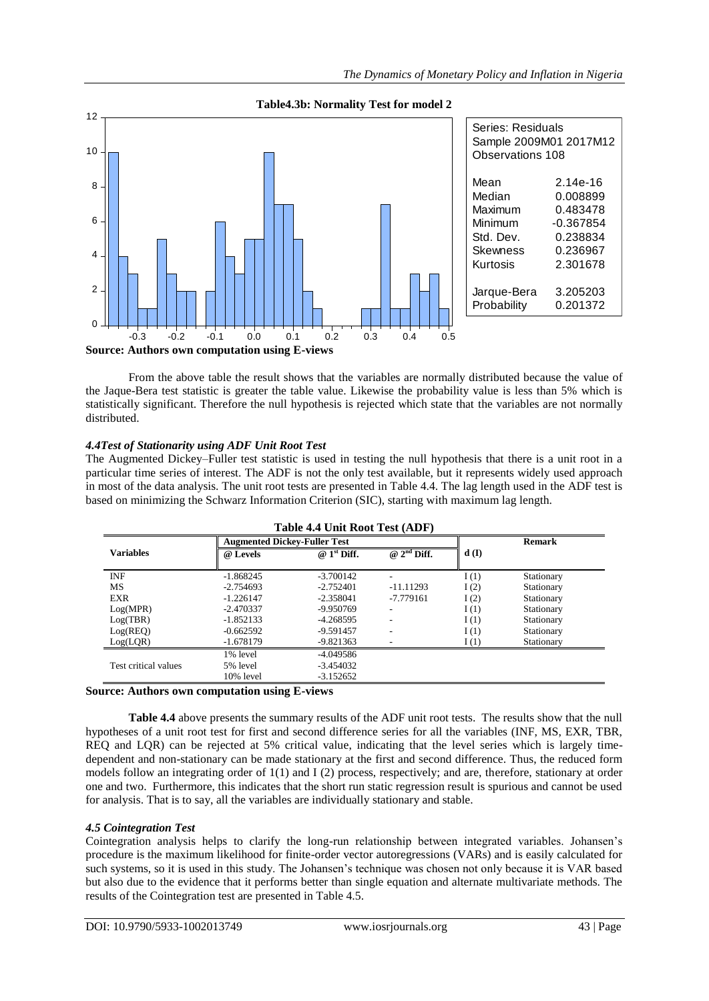

From the above table the result shows that the variables are normally distributed because the value of the Jaque-Bera test statistic is greater the table value. Likewise the probability value is less than 5% which is statistically significant. Therefore the null hypothesis is rejected which state that the variables are not normally distributed.

# *4.4Test of Stationarity using ADF Unit Root Test*

The Augmented Dickey–Fuller test statistic is used in testing the null hypothesis that there is a unit root in a particular time series of interest. The ADF is not the only test available, but it represents widely used approach in most of the data analysis. The unit root tests are presented in Table 4.4. The lag length used in the ADF test is based on minimizing the Schwarz Information Criterion (SIC), starting with maximum lag length.

| Tadie 4.4 Unit Root Test (ADF) |             |                                     |                                      |      |               |  |  |
|--------------------------------|-------------|-------------------------------------|--------------------------------------|------|---------------|--|--|
|                                |             | <b>Augmented Dickey-Fuller Test</b> |                                      |      | <b>Remark</b> |  |  |
| <b>Variables</b>               | @ Levels    | $@1st$ Diff.                        | $\overline{Q}$ 2 <sup>nd</sup> Diff. | d(I) |               |  |  |
|                                |             |                                     |                                      |      |               |  |  |
| <b>INF</b>                     | $-1.868245$ | $-3.700142$                         |                                      | I(1) | Stationary    |  |  |
| MS                             | $-2.754693$ | $-2.752401$                         | $-11.11293$                          | I(2) | Stationary    |  |  |
| <b>EXR</b>                     | $-1.226147$ | $-2.358041$                         | $-7.779161$                          | I(2) | Stationary    |  |  |
| Log(MPR)                       | $-2.470337$ | -9.950769                           |                                      | I(1) | Stationary    |  |  |
| Log(TBR)                       | $-1.852133$ | $-4.268595$                         |                                      | I(1) | Stationary    |  |  |
| Log(REQ)                       | $-0.662592$ | -9.591457                           |                                      | I(1) | Stationary    |  |  |
| Log(LQR)                       | $-1.678179$ | $-9.821363$                         |                                      | I(1) | Stationary    |  |  |
|                                | 1% level    | -4.049586                           |                                      |      |               |  |  |
| Test critical values           | 5% level    | $-3.454032$                         |                                      |      |               |  |  |
|                                | 10% level   | $-3.152652$                         |                                      |      |               |  |  |

# **Table 4.4 Unit Root Test (ADF)**

# **Source: Authors own computation using E-views**

**Table 4.4** above presents the summary results of the ADF unit root tests. The results show that the null hypotheses of a unit root test for first and second difference series for all the variables (INF, MS, EXR, TBR, REQ and LQR) can be rejected at 5% critical value, indicating that the level series which is largely timedependent and non-stationary can be made stationary at the first and second difference. Thus, the reduced form models follow an integrating order of 1(1) and I (2) process, respectively; and are, therefore, stationary at order one and two. Furthermore, this indicates that the short run static regression result is spurious and cannot be used for analysis. That is to say, all the variables are individually stationary and stable.

# *4.5 Cointegration Test*

Cointegration analysis helps to clarify the long-run relationship between integrated variables. Johansen's procedure is the maximum likelihood for finite-order vector autoregressions (VARs) and is easily calculated for such systems, so it is used in this study. The Johansen's technique was chosen not only because it is VAR based but also due to the evidence that it performs better than single equation and alternate multivariate methods. The results of the Cointegration test are presented in Table 4.5.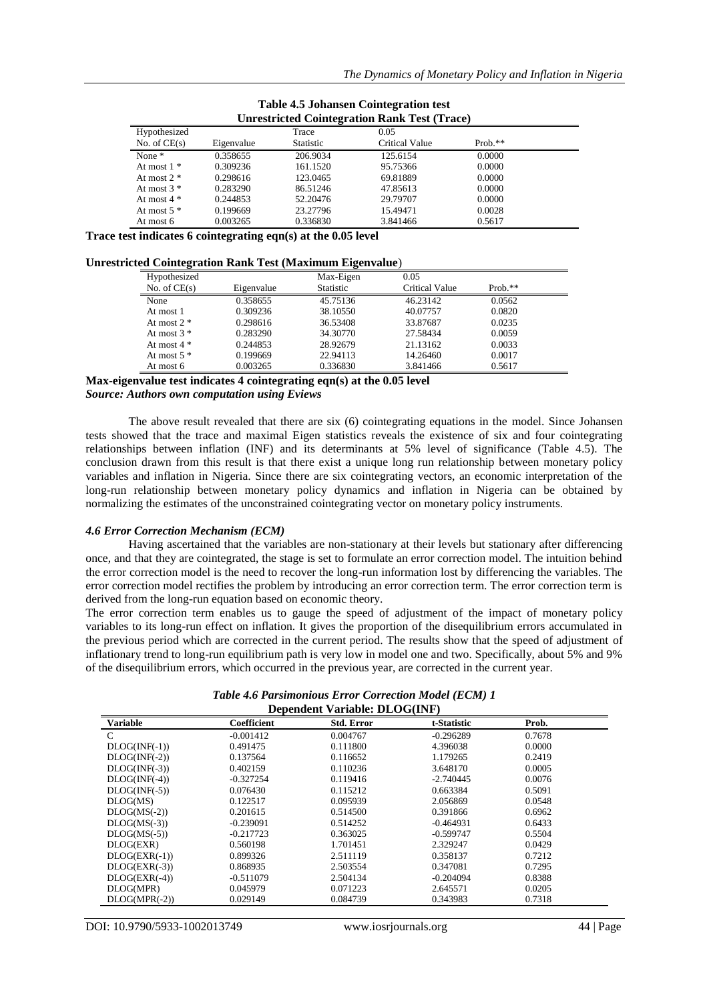| <b>Unrestricted Cointegration Rank Test (Trace)</b> |            |                  |                |            |  |
|-----------------------------------------------------|------------|------------------|----------------|------------|--|
| Hypothesized                                        |            | Trace            | 0.05           |            |  |
| No. of $CE(s)$                                      | Eigenvalue | <b>Statistic</b> | Critical Value | Prob. $**$ |  |
| None $*$                                            | 0.358655   | 206.9034         | 125.6154       | 0.0000     |  |
| At most $1 *$                                       | 0.309236   | 161.1520         | 95.75366       | 0.0000     |  |
| At most $2 *$                                       | 0.298616   | 123.0465         | 69.81889       | 0.0000     |  |
| At most $3 *$                                       | 0.283290   | 86.51246         | 47.85613       | 0.0000     |  |
| At most $4 *$                                       | 0.244853   | 52.20476         | 29.79707       | 0.0000     |  |
| At most $5$ $*$                                     | 0.199669   | 23.27796         | 15.49471       | 0.0028     |  |
| At most 6                                           | 0.003265   | 0.336830         | 3.841466       | 0.5617     |  |

| <b>Table 4.5 Johansen Cointegration test</b>        |  |
|-----------------------------------------------------|--|
| <b>Unrestricted Cointegration Rank Test (Trace)</b> |  |

**Trace test indicates 6 cointegrating eqn(s) at the 0.05 level**

| <b>Unrestricted Cointegration Rank Test (Maximum Eigenvalue)</b> |  |  |
|------------------------------------------------------------------|--|--|
|                                                                  |  |  |

| ັ              |            | ີ                |                |           |  |
|----------------|------------|------------------|----------------|-----------|--|
| Hypothesized   |            | Max-Eigen        | 0.05           |           |  |
| No. of $CE(s)$ | Eigenvalue | <b>Statistic</b> | Critical Value | $Prob.**$ |  |
| None           | 0.358655   | 45.75136         | 46.23142       | 0.0562    |  |
| At most 1      | 0.309236   | 38.10550         | 40.07757       | 0.0820    |  |
| At most $2 *$  | 0.298616   | 36.53408         | 33.87687       | 0.0235    |  |
| At most $3 *$  | 0.283290   | 34.30770         | 27.58434       | 0.0059    |  |
| At most $4 *$  | 0.244853   | 28.92679         | 21.13162       | 0.0033    |  |
| At most $5 *$  | 0.199669   | 22.94113         | 14.26460       | 0.0017    |  |
| At most 6      | 0.003265   | 0.336830         | 3.841466       | 0.5617    |  |

**Max-eigenvalue test indicates 4 cointegrating eqn(s) at the 0.05 level** *Source: Authors own computation using Eviews*

The above result revealed that there are six (6) cointegrating equations in the model. Since Johansen tests showed that the trace and maximal Eigen statistics reveals the existence of six and four cointegrating relationships between inflation (INF) and its determinants at 5% level of significance (Table 4.5). The conclusion drawn from this result is that there exist a unique long run relationship between monetary policy variables and inflation in Nigeria. Since there are six cointegrating vectors, an economic interpretation of the long-run relationship between monetary policy dynamics and inflation in Nigeria can be obtained by normalizing the estimates of the unconstrained cointegrating vector on monetary policy instruments.

## *4.6 Error Correction Mechanism (ECM)*

Having ascertained that the variables are non-stationary at their levels but stationary after differencing once, and that they are cointegrated, the stage is set to formulate an error correction model. The intuition behind the error correction model is the need to recover the long-run information lost by differencing the variables. The error correction model rectifies the problem by introducing an error correction term. The error correction term is derived from the long-run equation based on economic theory.

The error correction term enables us to gauge the speed of adjustment of the impact of monetary policy variables to its long-run effect on inflation. It gives the proportion of the disequilibrium errors accumulated in the previous period which are corrected in the current period. The results show that the speed of adjustment of inflationary trend to long-run equilibrium path is very low in model one and two. Specifically, about 5% and 9% of the disequilibrium errors, which occurred in the previous year, are corrected in the current year.

*Table 4.6 Parsimonious Error Correction Model (ECM) 1* **Dependent Variable: DLOG(INF)**

| Dependent variable. DEOG(IIVF) |             |                   |             |        |  |  |
|--------------------------------|-------------|-------------------|-------------|--------|--|--|
| <b>Variable</b>                | Coefficient | <b>Std. Error</b> | t-Statistic | Prob.  |  |  |
| C                              | $-0.001412$ | 0.004767          | $-0.296289$ | 0.7678 |  |  |
| $DLOG(NF(-1))$                 | 0.491475    | 0.111800          | 4.396038    | 0.0000 |  |  |
| $DLOG(NF(-2))$                 | 0.137564    | 0.116652          | 1.179265    | 0.2419 |  |  |
| $DLOG(NF(-3))$                 | 0.402159    | 0.110236          | 3.648170    | 0.0005 |  |  |
| $DLOG(NF(-4))$                 | $-0.327254$ | 0.119416          | $-2.740445$ | 0.0076 |  |  |
| $DLOG(NF(-5))$                 | 0.076430    | 0.115212          | 0.663384    | 0.5091 |  |  |
| DLOG(MS)                       | 0.122517    | 0.095939          | 2.056869    | 0.0548 |  |  |
| $DLOG(MS(-2))$                 | 0.201615    | 0.514500          | 0.391866    | 0.6962 |  |  |
| $DLOG(MS(-3))$                 | -0.239091   | 0.514252          | -0.464931   | 0.6433 |  |  |
| $DLOG(MS(-5))$                 | $-0.217723$ | 0.363025          | $-0.599747$ | 0.5504 |  |  |
| DLOG(EXR)                      | 0.560198    | 1.701451          | 2.329247    | 0.0429 |  |  |
| $DLOG(EXR(-1))$                | 0.899326    | 2.511119          | 0.358137    | 0.7212 |  |  |
| $DLOG(EXR(-3))$                | 0.868935    | 2.503554          | 0.347081    | 0.7295 |  |  |
| $DLOG(EXR(-4))$                | $-0.511079$ | 2.504134          | $-0.204094$ | 0.8388 |  |  |
| DLOG(MPR)                      | 0.045979    | 0.071223          | 2.645571    | 0.0205 |  |  |
| $DLOG(MPR(-2))$                | 0.029149    | 0.084739          | 0.343983    | 0.7318 |  |  |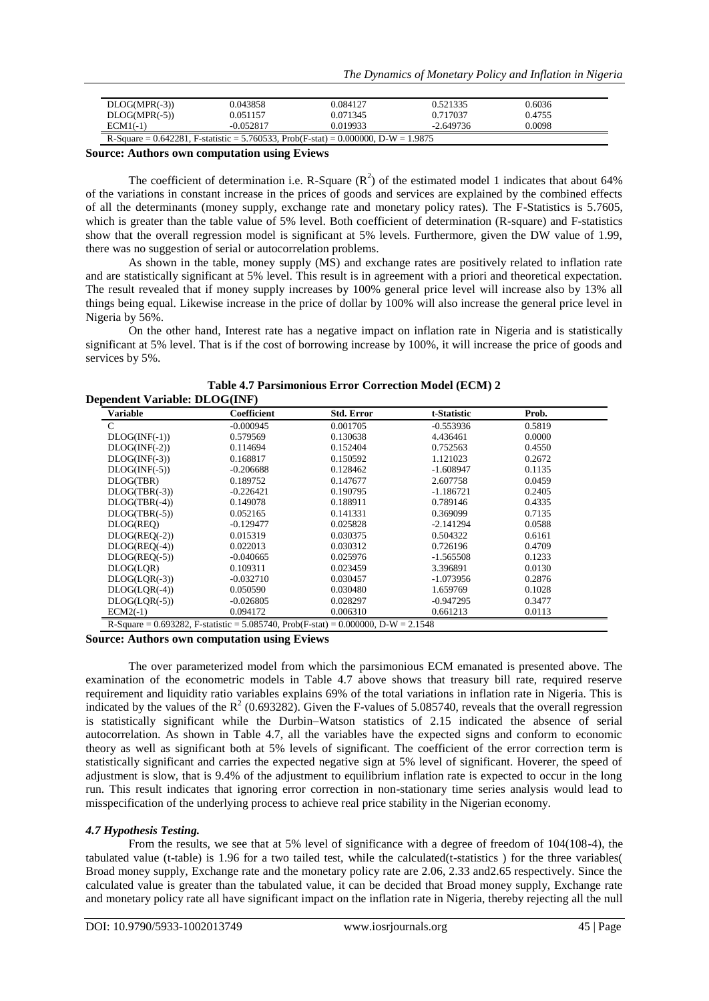| $DLOG(MPR(-3))$                                                                    | 0.043858    | 0.084127 | 0.521335    | 0.6036 |  |
|------------------------------------------------------------------------------------|-------------|----------|-------------|--------|--|
| $DLOG(MPR(-5))$                                                                    | 0.051157    | 0.071345 | 0.717037    | 0.4755 |  |
| $ECM1(-1)$                                                                         | $-0.052817$ | 0.019933 | $-2.649736$ | 0.0098 |  |
| R-Square = 0.642281, F-statistic = 5.760533, Prob(F-stat) = 0.000000, D-W = 1.9875 |             |          |             |        |  |

**Source: Authors own computation using Eviews**

The coefficient of determination i.e. R-Square  $(R^2)$  of the estimated model 1 indicates that about 64% of the variations in constant increase in the prices of goods and services are explained by the combined effects of all the determinants (money supply, exchange rate and monetary policy rates). The F-Statistics is 5.7605, which is greater than the table value of 5% level. Both coefficient of determination (R-square) and F-statistics show that the overall regression model is significant at 5% levels. Furthermore, given the DW value of 1.99, there was no suggestion of serial or autocorrelation problems.

As shown in the table, money supply (MS) and exchange rates are positively related to inflation rate and are statistically significant at 5% level. This result is in agreement with a priori and theoretical expectation. The result revealed that if money supply increases by 100% general price level will increase also by 13% all things being equal. Likewise increase in the price of dollar by 100% will also increase the general price level in Nigeria by 56%.

On the other hand, Interest rate has a negative impact on inflation rate in Nigeria and is statistically significant at 5% level. That is if the cost of borrowing increase by 100%, it will increase the price of goods and services by 5%.

| <b>Variable</b> | Coefficient | <b>Std. Error</b> | t-Statistic | Prob.  |
|-----------------|-------------|-------------------|-------------|--------|
| $\mathcal{C}$   | $-0.000945$ | 0.001705          | $-0.553936$ | 0.5819 |
| $DLOG(NF(-1))$  | 0.579569    | 0.130638          | 4.436461    | 0.0000 |
| $DLOG(NF(-2))$  | 0.114694    | 0.152404          | 0.752563    | 0.4550 |
| $DLOG(NF(-3))$  | 0.168817    | 0.150592          | 1.121023    | 0.2672 |
| $DLOG(NF(-5))$  | $-0.206688$ | 0.128462          | $-1.608947$ | 0.1135 |
| DLOG(TBR)       | 0.189752    | 0.147677          | 2.607758    | 0.0459 |
| $DLOG(TBR(-3))$ | $-0.226421$ | 0.190795          | $-1.186721$ | 0.2405 |
| $DLOG(TBR(-4))$ | 0.149078    | 0.188911          | 0.789146    | 0.4335 |
| $DLOG(TBR(-5))$ | 0.052165    | 0.141331          | 0.369099    | 0.7135 |
| DLOG(REO)       | $-0.129477$ | 0.025828          | $-2.141294$ | 0.0588 |
| $DLOG(REO(-2))$ | 0.015319    | 0.030375          | 0.504322    | 0.6161 |
| $DLOG(REQ(-4))$ | 0.022013    | 0.030312          | 0.726196    | 0.4709 |
| $DLOG(REQ(-5))$ | $-0.040665$ | 0.025976          | $-1.565508$ | 0.1233 |
| DLOG(LQR)       | 0.109311    | 0.023459          | 3.396891    | 0.0130 |
| $DLOG(LOR(-3))$ | $-0.032710$ | 0.030457          | $-1.073956$ | 0.2876 |
| $DLOG(LOR(-4))$ | 0.050590    | 0.030480          | 1.659769    | 0.1028 |
| $DLOG(LQR(-5))$ | $-0.026805$ | 0.028297          | $-0.947295$ | 0.3477 |
| $ECM2(-1)$      | 0.094172    | 0.006310          | 0.661213    | 0.0113 |

**Table 4.7 Parsimonious Error Correction Model (ECM) 2**

**Source: Authors own computation using Eviews**

The over parameterized model from which the parsimonious ECM emanated is presented above. The examination of the econometric models in Table 4.7 above shows that treasury bill rate, required reserve requirement and liquidity ratio variables explains 69% of the total variations in inflation rate in Nigeria. This is indicated by the values of the  $R^2$  (0.693282). Given the F-values of 5.085740, reveals that the overall regression is statistically significant while the Durbin–Watson statistics of 2.15 indicated the absence of serial autocorrelation. As shown in Table 4.7, all the variables have the expected signs and conform to economic theory as well as significant both at 5% levels of significant. The coefficient of the error correction term is statistically significant and carries the expected negative sign at 5% level of significant. Hoverer, the speed of adjustment is slow, that is 9.4% of the adjustment to equilibrium inflation rate is expected to occur in the long run. This result indicates that ignoring error correction in non-stationary time series analysis would lead to misspecification of the underlying process to achieve real price stability in the Nigerian economy.

# *4.7 Hypothesis Testing.*

From the results, we see that at 5% level of significance with a degree of freedom of 104(108-4), the tabulated value (t-table) is 1.96 for a two tailed test, while the calculated(t-statistics ) for the three variables( Broad money supply, Exchange rate and the monetary policy rate are 2.06, 2.33 and2.65 respectively. Since the calculated value is greater than the tabulated value, it can be decided that Broad money supply, Exchange rate and monetary policy rate all have significant impact on the inflation rate in Nigeria, thereby rejecting all the null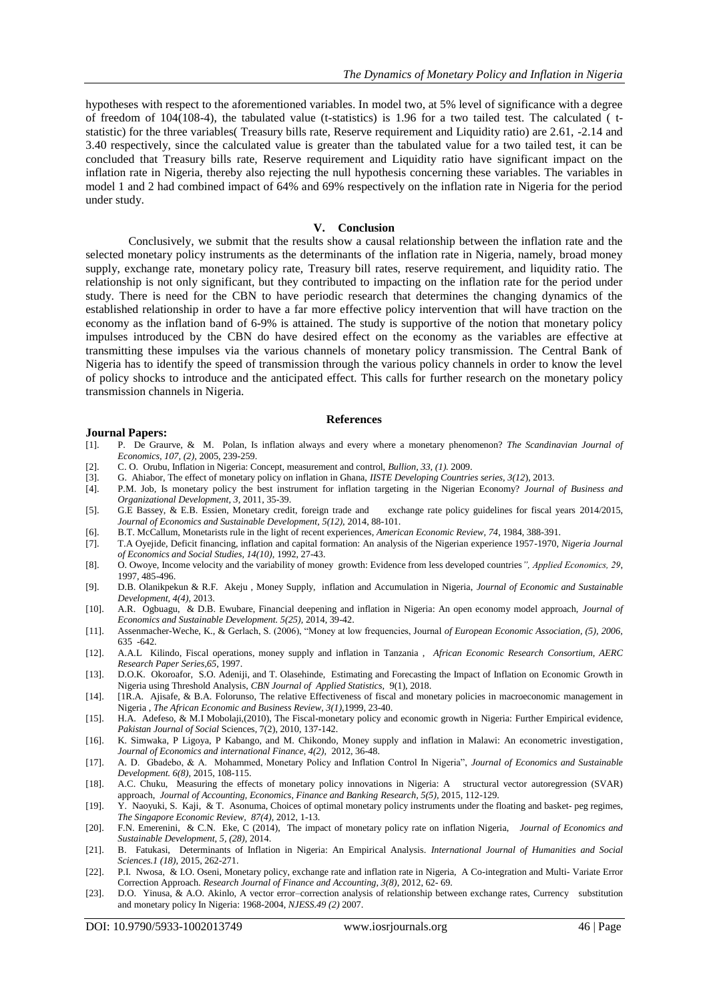hypotheses with respect to the aforementioned variables. In model two, at 5% level of significance with a degree of freedom of 104(108-4), the tabulated value (t-statistics) is 1.96 for a two tailed test. The calculated ( tstatistic) for the three variables( Treasury bills rate, Reserve requirement and Liquidity ratio) are 2.61, -2.14 and 3.40 respectively, since the calculated value is greater than the tabulated value for a two tailed test, it can be concluded that Treasury bills rate, Reserve requirement and Liquidity ratio have significant impact on the inflation rate in Nigeria, thereby also rejecting the null hypothesis concerning these variables. The variables in model 1 and 2 had combined impact of 64% and 69% respectively on the inflation rate in Nigeria for the period under study.

## **V. Conclusion**

Conclusively, we submit that the results show a causal relationship between the inflation rate and the selected monetary policy instruments as the determinants of the inflation rate in Nigeria, namely, broad money supply, exchange rate, monetary policy rate, Treasury bill rates, reserve requirement, and liquidity ratio. The relationship is not only significant, but they contributed to impacting on the inflation rate for the period under study. There is need for the CBN to have periodic research that determines the changing dynamics of the established relationship in order to have a far more effective policy intervention that will have traction on the economy as the inflation band of 6-9% is attained. The study is supportive of the notion that monetary policy impulses introduced by the CBN do have desired effect on the economy as the variables are effective at transmitting these impulses via the various channels of monetary policy transmission. The Central Bank of Nigeria has to identify the speed of transmission through the various policy channels in order to know the level of policy shocks to introduce and the anticipated effect. This calls for further research on the monetary policy transmission channels in Nigeria.

#### **References**

#### **Journal Papers:**

- [1]. P. De Graurve, & M. Polan, Is inflation always and every where a monetary phenomenon? *The Scandinavian Journal of Economics, 107, (2),* 2005, 239-259.
- [2]. C. O. Orubu, Inflation in Nigeria: Concept, measurement and control, *Bullion, 33, (1).* 2009.
- [3]. G. Ahiabor, The effect of monetary policy on inflation in Ghana, *IISTE Developing Countries series, 3(12*), 2013.
- [4]. P.M. Job, Is monetary policy the best instrument for inflation targeting in the Nigerian Economy? *Journal of Business and Organizational Development, 3,* 2011, 35-39.
- [5]. G.E Bassey, & E.B. Essien, Monetary credit, foreign trade and exchange rate policy guidelines for fiscal years 2014/2015, *Journal of Economics and Sustainable Development, 5(12),* 2014, 88-101.
- [6]. B.T. McCallum, Monetarists rule in the light of recent experiences*, American Economic Review, 74*, 1984, 388-391.
- [7]. T.A Oyejide, Deficit financing, inflation and capital formation: An analysis of the Nigerian experience 1957-1970, *Nigeria Journal of Economics and Social Studies, 14(10),* 1992, 27-43.
- [8]. O. Owoye, Income velocity and the variability of money growth: Evidence from less developed countries*", Applied Economics, 29*, 1997, 485-496.
- [9]. D.B. Olanikpekun & R.F. Akeju , Money Supply, inflation and Accumulation in Nigeria, *Journal of Economic and Sustainable Development, 4(4),* 2013.
- [10]. A.R. Ogbuagu, & D.B. Ewubare, Financial deepening and inflation in Nigeria: An open economy model approach, *Journal of Economics and Sustainable Development. 5(25),* 2014, 39-42.
- [11]. Assenmacher-Weche, K., & Gerlach, S. (2006), "Money at low frequencies, Journal *of European Economic Association, (5), 2006,*  635 -642.
- [12]. A.A.L Kilindo, Fiscal operations, money supply and inflation in Tanzania , *African Economic Research Consortium, AERC Research Paper Series,65*, 1997.
- [13]. D.O.K. Okoroafor, S.O. Adeniji, and T. Olasehinde, Estimating and Forecasting the Impact of Inflation on Economic Growth in Nigeria using Threshold Analysis, *CBN Journal of Applied Statistics,* 9(1), 2018.
- [14]. [1R.A. Ajisafe, & B.A. Folorunso, The relative Effectiveness of fiscal and monetary policies in macroeconomic management in Nigeria , *The African Economic and Business Review, 3(1),*1999, 23-40.
- [15]. H.A. Adefeso, & M.I Mobolaji,(2010), The Fiscal-monetary policy and economic growth in Nigeria: Further Empirical evidence, *Pakistan Journal of Social* Sciences, 7(2), 2010, 137-142.
- [16]. K. Simwaka, P Ligoya, P Kabango, and M. Chikondo, Money supply and inflation in Malawi: An econometric investigation*, Journal of Economics and international Finance, 4(2),* 2012*,* 36-48.
- [17]. A. D. Gbadebo, & A. Mohammed, Monetary Policy and Inflation Control In Nigeria", *Journal of Economics and Sustainable Development. 6(8),* 2015, 108-115.
- [18]. A.C. Chuku, Measuring the effects of monetary policy innovations in Nigeria: A structural vector autoregression (SVAR) approach, *Journal of Accounting, Economics, Finance and Banking Research, 5(5),* 2015, 112-129.
- [19]. Y. Naoyuki, S. Kaji, & T. Asonuma, Choices of optimal monetary policy instruments under the floating and basket- peg regimes, *The Singapore Economic Review, 87(4),* 2012, 1-13.
- [20]. F.N. Emerenini, & C.N. Eke, C (2014), The impact of monetary policy rate on inflation Nigeria, *Journal of Economics and Sustainable Development, 5, (28),* 2014.
- [21]. B. Fatukasi, Determinants of Inflation in Nigeria: An Empirical Analysis. *International Journal of Humanities and Social Sciences.1 (18),* 2015, 262-271.
- [22]. P.I. Nwosa, & I.O. Oseni, Monetary policy, exchange rate and inflation rate in Nigeria, A Co-integration and Multi- Variate Error Correction Approach. *Research Journal of Finance and Accounting, 3(8)*, 2012, 62- 69.
- [23]. D.O. Yinusa, & A.O. Akinlo, A vector error–correction analysis of relationship between exchange rates, Currency substitution and monetary policy In Nigeria: 1968-2004, *NJESS.49 (2)* 2007.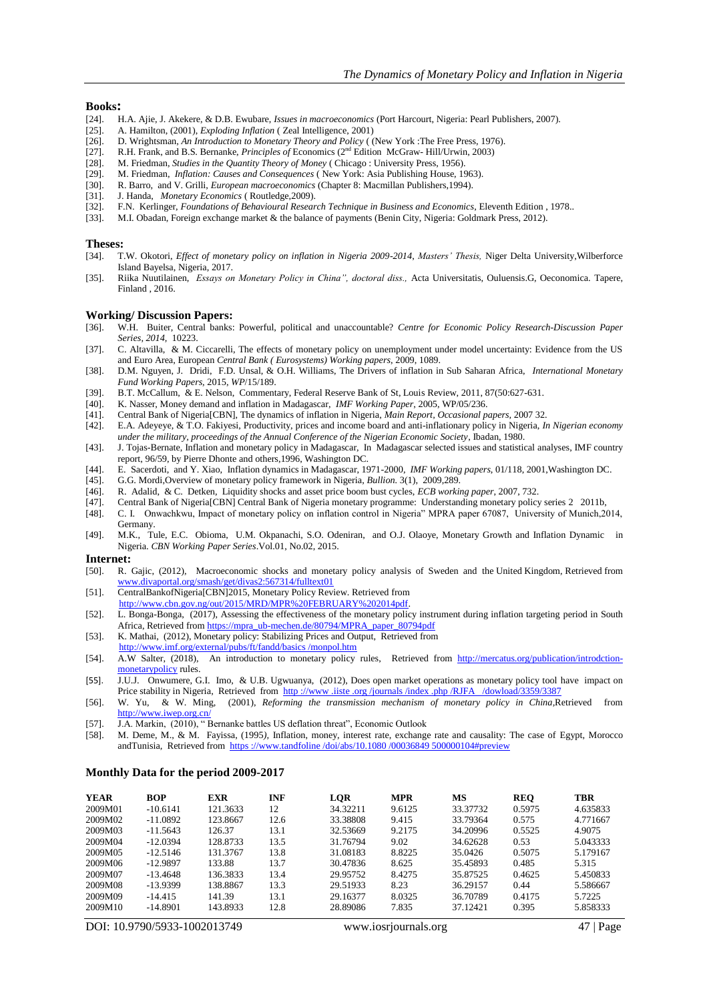#### **Books:**

- [24]. H.A. Ajie, J. Akekere, & D.B. Ewubare, *Issues in macroeconomics* (Port Harcourt, Nigeria: Pearl Publishers, 2007).
- [25]. A. Hamilton, (2001), *Exploding Inflation* (Zeal Intelligence, 2001) [26]. D. Wrightsman, An Introduction to Monetary Theory and Policy ((
- [26]. D. Wrightsman, *An Introduction to Monetary Theory and Policy* ( (New York :The Free Press, 1976).
- [27]. R.H. Frank, and B.S. Bernanke, *Principles of* Economics (2nd Edition McGraw- Hill/Urwin, 2003)
- [28]. M. Friedman, *Studies in the Quantity Theory of Money* ( Chicago : University Press, 1956).
- [29]. M. Friedman, *Inflation: Causes and Consequences* ( New York: Asia Publishing House, 1963).
- [30]. R. Barro, and V. Grilli, *European macroeconomics* (Chapter 8: Macmillan Publishers,1994).
- [31]. J. Handa, *Monetary Economics* ( Routledge,2009).
- [32]. F.N. Kerlinger, *Foundations of Behavioural Research Technique in Business and Economics*, Eleventh Edition, 1978..<br>[33] M.J. Obadan, Foreign exchange market & the balance of nayments (Benin City, Nigeria: Goldmark P
- M.I. Obadan, Foreign exchange market & the balance of payments (Benin City, Nigeria: Goldmark Press, 2012).

# **Theses:**<br>[34]. **T**.

- [34]. T.W. Okotori, *Effect of monetary policy on inflation in Nigeria 2009-2014*, *Masters' Thesis,* Niger Delta University,Wilberforce Island Bayelsa, Nigeria, 2017.
- [35]. Riika Nuutilainen, *Essays on Monetary Policy in China", doctoral diss.,* Acta Universitatis, Ouluensis.G, Oeconomica. Tapere, Finland , 2016.

#### **Working/ Discussion Papers:**

- [36]. W.H. Buiter, Central banks: Powerful, political and unaccountable? *Centre for Economic Policy Research-Discussion Paper Series, 2014,* 10223.
- [37]. C. Altavilla, & M. Ciccarelli, The effects of monetary policy on unemployment under model uncertainty: Evidence from the US and Euro Area, European *Central Bank ( Eurosystems) Working papers*, 2009, 1089.
- [38]. D.M. Nguyen, J. Dridi, F.D. Unsal, & O.H. Williams, The Drivers of inflation in Sub Saharan Africa, *International Monetary Fund Working Papers,* 2015, *WP*/15/189.
- [39]. B.T. McCallum, & E. Nelson, Commentary, Federal Reserve Bank of St, Louis Review, 2011, 87(50:627-631.
- [40]. K. Nasser, Money demand and inflation in Madagascar, *IMF Working Paper*, 2005, WP/05/236.
- [41]. Central Bank of Nigeria[CBN], The dynamics of inflation in Nigeria, *Main Report, Occasional papers,* 2007 32.
- [42]. E.A. Adeyeye, & T.O. Fakiyesi, Productivity, prices and income board and anti-inflationary policy in Nigeria, *In Nigerian economy*
- *under the military, proceedings of the Annual Conference of the Nigerian Economic Society*, Ibadan, 1980. [43]. J. Tojas-Bernate, Inflation and monetary policy in Madagascar, In Madagascar selected issues and statistical analyses, IMF country
- report, 96/59, by Pierre Dhonte and others,1996, Washington DC.
- [44]. E. Sacerdoti, and Y. Xiao, Inflation dynamics in Madagascar, 1971-2000, *IMF Working papers*, 01/118, 2001,Washington DC.
- [45]. G.G. Mordi,Overview of monetary policy framework in Nigeria, *Bullion.* 3(1), 2009,289.
- [46]. R. Adalid, & C. Detken, Liquidity shocks and asset price boom bust cycles, *ECB working paper*, 2007, 732.
- [47]. Central Bank of Nigeria[CBN] Central Bank of Nigeria monetary programme: Understanding monetary policy series 2 2011b,
- [48]. C. I. Onwachkwu, Impact of monetary policy on inflation control in Nigeria" MPRA paper 67087, University of Munich,2014, Germany.
- [49]. M.K., Tule, E.C. Obioma, U.M. Okpanachi, S.O. Odeniran, and O.J. Olaoye, Monetary Growth and Inflation Dynamic in Nigeria. *CBN Working Paper Series*.Vol.01, No.02, 2015.

#### **Internet:**

- [50]. R. Gajic, (2012), Macroeconomic shocks and monetary policy analysis of Sweden and the United Kingdom, Retrieved from [www.divaportal.org/smash/get/divas2:567314/fulltext01](http://www.divaportal.org/smash/get/divas2:567314/fulltext01)
- [51]. CentralBankofNigeria[CBN]2015, Monetary Policy Review. Retrieved from
- [http://www.cbn.gov.ng/out/2015/MRD/MPR%20FEBRUARY%202014pdf.](http://www.cbn.gov.ng/out/2015/MRD/MPR%20FEBRUARY%202014pdf)
- [52]. L. Bonga-Bonga, (2017), Assessing the effectiveness of the monetary policy instrument during inflation targeting period in South Africa, Retrieved fro[m https://mpra\\_ub-mechen.de/80794/MPRA\\_paper\\_80794pdf](https://mpra_ub-mechen.de/80794/MPRA_paper_80794pdf)
- [53]. K. Mathai, (2012), Monetary policy: Stabilizing Prices and Output, Retrieved from
- http://www.imf.org/external/pubs/ft/fandd/basics /monpol.htm
- [54]. A.W Salter, (2018), An introduction to monetary policy rules, Retrieved from [http://mercatus.org/publication/introdction](http://mercatus.org/publication/introdction-%20%20%20monetarypolicy)[monetarypolicy](http://mercatus.org/publication/introdction-%20%20%20monetarypolicy) rules.
- [55]. J.U.J. Onwumere, G.I. Imo, & U.B. Ugwuanya, (2012), Does open market operations as monetary policy tool have impact on Price stability in Nigeria, Retrieved from http://www.iiste.org/journals/index.php/RJFA /dowload/3359/3387
- [56]. W. Yu, & W. Ming, (2001), *Reforming the transmission mechanism of monetary policy in China,*Retrieved from http://www.iwep.org.cn
- [57]. J.A. Markin, (2010), " Bernanke battles US deflation threat", Economic Outlook
- [58]. M. Deme, M., & M. Fayissa, (1995*),* Inflation, money, interest rate, exchange rate and causality: The case of Egypt, Morocco andTunisia*,* Retrieved from [https ://www.tandfoline /doi/abs/10.1080 /00036849 500000104#preview](https://www.tandfoline/doi/abs/10.1080/00036849500000104#preview)

#### **Monthly Data for the period 2009-2017**

| <b>YEAR</b> | <b>BOP</b> | <b>EXR</b> | <b>INF</b> | LOR      | <b>MPR</b> | MS       | <b>REO</b> | TBR      |
|-------------|------------|------------|------------|----------|------------|----------|------------|----------|
| 2009M01     | $-10.6141$ | 121.3633   | 12         | 34.32211 | 9.6125     | 33.37732 | 0.5975     | 4.635833 |
| 2009M02     | $-11.0892$ | 123.8667   | 12.6       | 33.38808 | 9.415      | 33.79364 | 0.575      | 4.771667 |
| 2009M03     | $-11.5643$ | 126.37     | 13.1       | 32.53669 | 9.2175     | 34.20996 | 0.5525     | 4.9075   |
| 2009M04     | $-12.0394$ | 128.8733   | 13.5       | 31.76794 | 9.02       | 34.62628 | 0.53       | 5.043333 |
| 2009M05     | $-12.5146$ | 131.3767   | 13.8       | 31.08183 | 8.8225     | 35.0426  | 0.5075     | 5.179167 |
| 2009M06     | $-12.9897$ | 133.88     | 13.7       | 30.47836 | 8.625      | 35.45893 | 0.485      | 5.315    |
| 2009M07     | $-13.4648$ | 136.3833   | 13.4       | 29.95752 | 8.4275     | 35.87525 | 0.4625     | 5.450833 |
| 2009M08     | $-13.9399$ | 138.8867   | 13.3       | 29.51933 | 8.23       | 36.29157 | 0.44       | 5.586667 |
| 2009M09     | $-14.415$  | 141.39     | 13.1       | 29.16377 | 8.0325     | 36.70789 | 0.4175     | 5.7225   |
| 2009M10     | $-14.8901$ | 143.8933   | 12.8       | 28.89086 | 7.835      | 37.12421 | 0.395      | 5.858333 |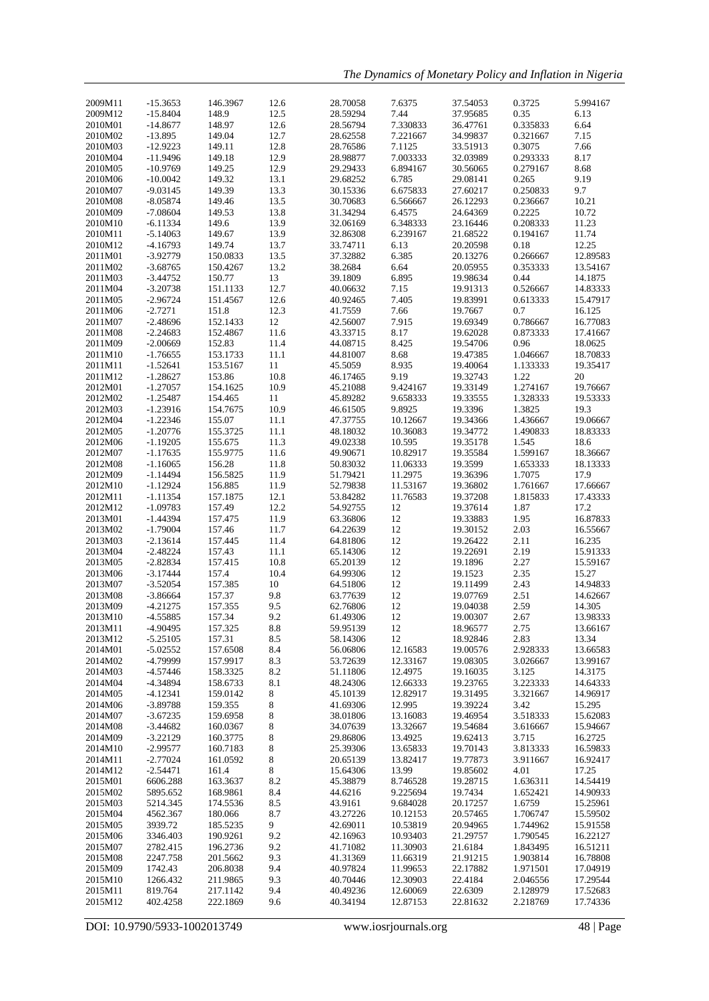*The Dynamics of Monetary Policy and Inflation in Nigeria*

| 2009M11 | $-15.3653$ | 146.3967 | 12.6 | 28.70058 | 7.6375   | 37.54053 | 0.3725   | 5.994167 |
|---------|------------|----------|------|----------|----------|----------|----------|----------|
| 2009M12 | $-15.8404$ | 148.9    | 12.5 | 28.59294 | 7.44     | 37.95685 | 0.35     | 6.13     |
|         |            | 148.97   | 12.6 |          | 7.330833 |          | 0.335833 | 6.64     |
| 2010M01 | $-14.8677$ |          |      | 28.56794 |          | 36.47761 |          |          |
| 2010M02 | $-13.895$  | 149.04   | 12.7 | 28.62558 | 7.221667 | 34.99837 | 0.321667 | 7.15     |
| 2010M03 | $-12.9223$ | 149.11   | 12.8 | 28.76586 | 7.1125   | 33.51913 | 0.3075   | 7.66     |
| 2010M04 | $-11.9496$ | 149.18   | 12.9 | 28.98877 | 7.003333 | 32.03989 | 0.293333 | 8.17     |
| 2010M05 | $-10.9769$ | 149.25   | 12.9 | 29.29433 | 6.894167 | 30.56065 | 0.279167 | 8.68     |
|         |            |          |      |          |          |          |          |          |
| 2010M06 | $-10.0042$ | 149.32   | 13.1 | 29.68252 | 6.785    | 29.08141 | 0.265    | 9.19     |
| 2010M07 | $-9.03145$ | 149.39   | 13.3 | 30.15336 | 6.675833 | 27.60217 | 0.250833 | 9.7      |
| 2010M08 | $-8.05874$ | 149.46   | 13.5 | 30.70683 | 6.566667 | 26.12293 | 0.236667 | 10.21    |
|         |            |          |      |          |          |          |          |          |
| 2010M09 | $-7.08604$ | 149.53   | 13.8 | 31.34294 | 6.4575   | 24.64369 | 0.2225   | 10.72    |
| 2010M10 | $-6.11334$ | 149.6    | 13.9 | 32.06169 | 6.348333 | 23.16446 | 0.208333 | 11.23    |
| 2010M11 | $-5.14063$ | 149.67   | 13.9 | 32.86308 | 6.239167 | 21.68522 | 0.194167 | 11.74    |
| 2010M12 | $-4.16793$ | 149.74   | 13.7 | 33.74711 | 6.13     | 20.20598 | 0.18     | 12.25    |
|         |            |          |      |          |          |          |          |          |
| 2011M01 | $-3.92779$ | 150.0833 | 13.5 | 37.32882 | 6.385    | 20.13276 | 0.266667 | 12.89583 |
| 2011M02 | $-3.68765$ | 150.4267 | 13.2 | 38.2684  | 6.64     | 20.05955 | 0.353333 | 13.54167 |
| 2011M03 | $-3.44752$ | 150.77   | 13   | 39.1809  | 6.895    | 19.98634 | 0.44     | 14.1875  |
| 2011M04 | $-3.20738$ | 151.1133 | 12.7 | 40.06632 | 7.15     | 19.91313 | 0.526667 | 14.83333 |
|         |            |          |      |          |          |          |          |          |
| 2011M05 | $-2.96724$ | 151.4567 | 12.6 | 40.92465 | 7.405    | 19.83991 | 0.613333 | 15.47917 |
| 2011M06 | $-2.7271$  | 151.8    | 12.3 | 41.7559  | 7.66     | 19.7667  | 0.7      | 16.125   |
| 2011M07 | $-2.48696$ | 152.1433 | 12   | 42.56007 | 7.915    | 19.69349 | 0.786667 | 16.77083 |
| 2011M08 | $-2.24683$ | 152.4867 | 11.6 | 43.33715 | 8.17     | 19.62028 | 0.873333 | 17.41667 |
|         |            |          |      |          |          |          |          |          |
| 2011M09 | $-2.00669$ | 152.83   | 11.4 | 44.08715 | 8.425    | 19.54706 | 0.96     | 18.0625  |
| 2011M10 | $-1.76655$ | 153.1733 | 11.1 | 44.81007 | 8.68     | 19.47385 | 1.046667 | 18.70833 |
| 2011M11 | $-1.52641$ | 153.5167 | 11   | 45.5059  | 8.935    | 19.40064 | 1.133333 | 19.35417 |
| 2011M12 | $-1.28627$ | 153.86   | 10.8 | 46.17465 | 9.19     | 19.32743 | 1.22     | 20       |
|         |            |          |      |          |          |          |          |          |
| 2012M01 | $-1.27057$ | 154.1625 | 10.9 | 45.21088 | 9.424167 | 19.33149 | 1.274167 | 19.76667 |
| 2012M02 | $-1.25487$ | 154.465  | 11   | 45.89282 | 9.658333 | 19.33555 | 1.328333 | 19.53333 |
| 2012M03 | $-1.23916$ | 154.7675 | 10.9 | 46.61505 | 9.8925   | 19.3396  | 1.3825   | 19.3     |
| 2012M04 | $-1.22346$ | 155.07   | 11.1 | 47.37755 | 10.12667 | 19.34366 | 1.436667 | 19.06667 |
|         |            |          |      |          |          |          |          |          |
| 2012M05 | $-1.20776$ | 155.3725 | 11.1 | 48.18032 | 10.36083 | 19.34772 | 1.490833 | 18.83333 |
| 2012M06 | $-1.19205$ | 155.675  | 11.3 | 49.02338 | 10.595   | 19.35178 | 1.545    | 18.6     |
| 2012M07 | $-1.17635$ | 155.9775 | 11.6 | 49.90671 | 10.82917 | 19.35584 | 1.599167 | 18.36667 |
| 2012M08 | $-1.16065$ | 156.28   | 11.8 | 50.83032 | 11.06333 | 19.3599  | 1.653333 | 18.13333 |
|         |            |          |      |          |          |          |          |          |
| 2012M09 | $-1.14494$ | 156.5825 | 11.9 | 51.79421 | 11.2975  | 19.36396 | 1.7075   | 17.9     |
| 2012M10 | $-1.12924$ | 156.885  | 11.9 | 52.79838 | 11.53167 | 19.36802 | 1.761667 | 17.66667 |
| 2012M11 | -1.11354   | 157.1875 | 12.1 | 53.84282 | 11.76583 | 19.37208 | 1.815833 | 17.43333 |
| 2012M12 | $-1.09783$ | 157.49   | 12.2 | 54.92755 | 12       | 19.37614 | 1.87     | 17.2     |
|         |            |          |      |          |          |          |          |          |
| 2013M01 | $-1.44394$ | 157.475  | 11.9 | 63.36806 | 12       | 19.33883 | 1.95     | 16.87833 |
| 2013M02 | $-1.79004$ | 157.46   | 11.7 | 64.22639 | 12       | 19.30152 | 2.03     | 16.55667 |
| 2013M03 | $-2.13614$ | 157.445  | 11.4 | 64.81806 | 12       | 19.26422 | 2.11     | 16.235   |
| 2013M04 | $-2.48224$ | 157.43   | 11.1 | 65.14306 | 12       | 19.22691 | 2.19     | 15.91333 |
|         |            |          |      |          |          |          |          |          |
| 2013M05 | $-2.82834$ | 157.415  | 10.8 | 65.20139 | 12       | 19.1896  | 2.27     | 15.59167 |
| 2013M06 | $-3.17444$ | 157.4    | 10.4 | 64.99306 | 12       | 19.1523  | 2.35     | 15.27    |
| 2013M07 | $-3.52054$ | 157.385  | 10   | 64.51806 | 12       | 19.11499 | 2.43     | 14.94833 |
| 2013M08 | $-3.86664$ | 157.37   | 9.8  | 63.77639 | 12       | 19.07769 | 2.51     | 14.62667 |
|         |            |          |      |          |          |          |          |          |
| 2013M09 | -4.21275   | 157.355  | 9.5  | 62.76806 | 12       | 19.04038 | 2.59     | 14.305   |
| 2013M10 | $-4.55885$ | 157.34   | 9.2  | 61.49306 | 12       | 19.00307 | 2.67     | 13.98333 |
| 2013M11 | $-4.90495$ | 157.325  | 8.8  | 59.95139 | 12       | 18.96577 | 2.75     | 13.66167 |
| 2013M12 | $-5.25105$ | 157.31   | 8.5  | 58.14306 | 12       | 18.92846 | 2.83     | 13.34    |
| 2014M01 |            |          |      |          |          |          | 2.928333 |          |
|         | $-5.02552$ | 157.6508 | 8.4  | 56.06806 | 12.16583 | 19.00576 |          | 13.66583 |
| 2014M02 | -4.79999   | 157.9917 | 8.3  | 53.72639 | 12.33167 | 19.08305 | 3.026667 | 13.99167 |
| 2014M03 | $-4.57446$ | 158.3325 | 8.2  | 51.11806 | 12.4975  | 19.16035 | 3.125    | 14.3175  |
| 2014M04 | -4.34894   | 158.6733 | 8.1  | 48.24306 | 12.66333 | 19.23765 | 3.223333 | 14.64333 |
| 2014M05 | -4.12341   | 159.0142 | 8    | 45.10139 | 12.82917 | 19.31495 | 3.321667 | 14.96917 |
|         |            |          |      |          |          |          |          |          |
| 2014M06 | $-3.89788$ | 159.355  | 8    | 41.69306 | 12.995   | 19.39224 | 3.42     | 15.295   |
| 2014M07 | $-3.67235$ | 159.6958 | 8    | 38.01806 | 13.16083 | 19.46954 | 3.518333 | 15.62083 |
| 2014M08 | $-3.44682$ | 160.0367 | 8    | 34.07639 | 13.32667 | 19.54684 | 3.616667 | 15.94667 |
| 2014M09 | $-3.22129$ | 160.3775 |      | 29.86806 | 13.4925  | 19.62413 | 3.715    | 16.2725  |
|         |            |          | 8    |          |          |          |          |          |
| 2014M10 | $-2.99577$ | 160.7183 | 8    | 25.39306 | 13.65833 | 19.70143 | 3.813333 | 16.59833 |
| 2014M11 | $-2.77024$ | 161.0592 | 8    | 20.65139 | 13.82417 | 19.77873 | 3.911667 | 16.92417 |
| 2014M12 | $-2.54471$ | 161.4    | 8    | 15.64306 | 13.99    | 19.85602 | 4.01     | 17.25    |
|         | 6606.288   |          | 8.2  | 45.38879 | 8.746528 | 19.28715 | 1.636311 | 14.54419 |
| 2015M01 |            | 163.3637 |      |          |          |          |          |          |
| 2015M02 | 5895.652   | 168.9861 | 8.4  | 44.6216  | 9.225694 | 19.7434  | 1.652421 | 14.90933 |
| 2015M03 | 5214.345   | 174.5536 | 8.5  | 43.9161  | 9.684028 | 20.17257 | 1.6759   | 15.25961 |
| 2015M04 | 4562.367   | 180.066  | 8.7  | 43.27226 | 10.12153 | 20.57465 | 1.706747 | 15.59502 |
| 2015M05 | 3939.72    | 185.5235 | 9    | 42.69011 | 10.53819 | 20.94965 | 1.744962 | 15.91558 |
|         |            |          |      |          |          |          |          |          |
| 2015M06 | 3346.403   | 190.9261 | 9.2  | 42.16963 | 10.93403 | 21.29757 | 1.790545 | 16.22127 |
| 2015M07 | 2782.415   | 196.2736 | 9.2  | 41.71082 | 11.30903 | 21.6184  | 1.843495 | 16.51211 |
| 2015M08 | 2247.758   | 201.5662 | 9.3  | 41.31369 | 11.66319 | 21.91215 | 1.903814 | 16.78808 |
| 2015M09 | 1742.43    | 206.8038 | 9.4  | 40.97824 | 11.99653 | 22.17882 | 1.971501 | 17.04919 |
|         |            |          |      |          |          |          |          |          |
| 2015M10 | 1266.432   | 211.9865 | 9.3  | 40.70446 | 12.30903 | 22.4184  | 2.046556 | 17.29544 |
| 2015M11 | 819.764    | 217.1142 | 9.4  | 40.49236 | 12.60069 | 22.6309  | 2.128979 | 17.52683 |
| 2015M12 | 402.4258   | 222.1869 | 9.6  | 40.34194 | 12.87153 | 22.81632 | 2.218769 | 17.74336 |
|         |            |          |      |          |          |          |          |          |

DOI: 10.9790/5933-1002013749 www.iosrjournals.org 48 | Page